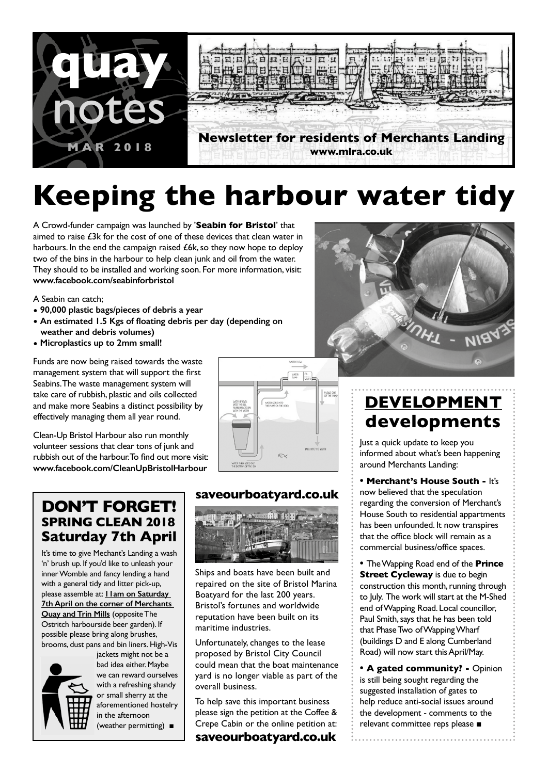

# **Keeping the harbour water tidy**

A Crowd-funder campaign was launched by '**Seabin for Bristol**' that aimed to raise £3k for the cost of one of these devices that clean water in harbours. In the end the campaign raised £6k, so they now hope to deploy two of the bins in the harbour to help clean junk and oil from the water. They should to be installed and working soon. For more information, visit: **www.facebook.com/seabinforbristol**

A Seabin can catch;

- **• 90,000 plastic bags/pieces of debris a year**
- **• An estimated 1.5 Kgs of floating debris per day (depending on weather and debris volumes)**
- **• Microplastics up to 2mm small!**

Funds are now being raised towards the waste management system that will support the first Seabins. The waste management system will take care of rubbish, plastic and oils collected and make more Seabins a distinct possibility by effectively managing them all year round.

Clean-Up Bristol Harbour also run monthly volunteer sessions that clear tons of junk and rubbish out of the harbour. To find out more visit: **www.facebook.com/CleanUpBristolHarbour**



ŗ

## **DON'T FORGET! SPRING CLEAN 2018 Saturday 7th April**

It's time to give Mechant's Landing a wash 'n' brush up. If you'd like to unleash your inner Womble and fancy lending a hand with a general tidy and litter pick-up, please assemble at: **11am on Saturday 7th April on the corner of Merchants Quay and Trin Mills** (opposite The Ostritch harbourside beer garden). If possible please bring along brushes, brooms, dust pans and bin liners. High-Vis



jackets might not be a bad idea either. Maybe we can reward ourselves with a refreshing shandy or small sherry at the aforementioned hostelry in the afternoon (weather permitting) ■

## **saveourboatyard.co.uk**



Ships and boats have been built and repaired on the site of Bristol Marina Boatyard for the last 200 years. Bristol's fortunes and worldwide reputation have been built on its maritime industries.

Unfortunately, changes to the lease proposed by Bristol City Council could mean that the boat maintenance yard is no longer viable as part of the overall business.

To help save this important business please sign the petition at the Coffee & Crepe Cabin or the online petition at:

**saveourboatyard.co.uk**



## **DEVELOPMENT developments**

Just a quick update to keep you informed about what's been happening around Merchants Landing:

**• Merchant's House South -** It's now believed that the speculation regarding the conversion of Merchant's House South to residential appartments has been unfounded. It now transpires that the office block will remain as a commercial business/office spaces.

**•** The Wapping Road end of the **Prince Street Cycleway** is due to begin construction this month, running through to July. The work will start at the M-Shed end of Wapping Road. Local councillor, Paul Smith, says that he has been told that Phase Two of Wapping Wharf (buildings D and E along Cumberland Road) will now start this April/May.

**• A gated community? -** Opinion is still being sought regarding the suggested installation of gates to help reduce anti-social issues around the development - comments to the relevant committee reps please ■